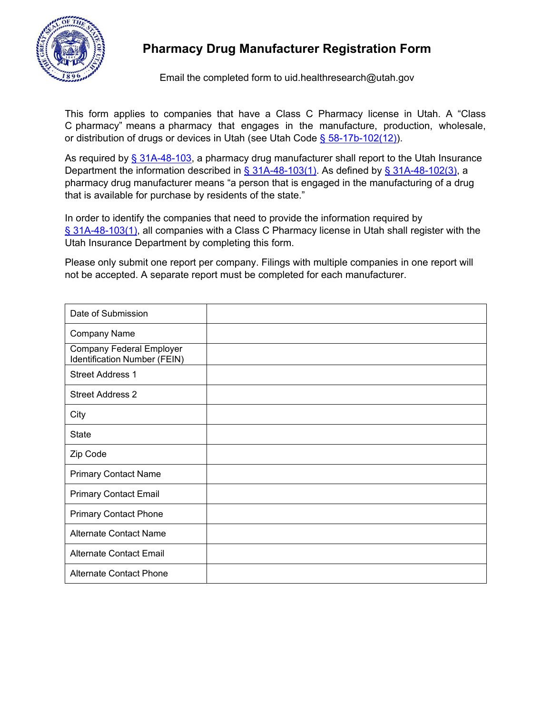

## **Pharmacy Drug Manufacturer Registration Form**

Email the completed form to [uid.healthresearch@utah.gov](mailto:uid.healthresearch@utah.gov)

This form applies to companies that have a Class C Pharmacy license in Utah. A "Class C pharmacy" means a pharmacy that engages in the manufacture, production, wholesale, or distribution of drugs or devices in Utah (see Utah Code § [58-17b-102\(12\)\)](https://le.utah.gov/xcode/Title58/Chapter17B/58-17b-S102.html?v=C58-17b-S102_2019051420190514).

As required by  $\S$  [31A-48-103,](https://le.utah.gov/xcode/Title31A/Chapter48/31A-48-S103.html?v=C31A-48-S103_2020051220200512) a pharmacy drug manufacturer shall report to the Utah Insurance Department the information described in  $\S$  [31A-48-103\(1\).](https://le.utah.gov/xcode/Title31A/Chapter48/31A-48-S103.html?v=C31A-48-S103_2020051220200512) As defined by  $\S$  [31A-48-102\(3\),](https://le.utah.gov/xcode/Title31A/Chapter48/31A-48-S102.html?v=C31A-48-S102_2020051220200512) a pharmacy drug manufacturer means "a person that is engaged in the manufacturing of a drug that is available for purchase by residents of the state."

In order to identify the companies that need to provide the information required by § [31A-48-103\(1\),](https://le.utah.gov/xcode/Title31A/Chapter48/31A-48-S103.html?v=C31A-48-S103_2020051220200512) all companies with a Class C Pharmacy license in Utah shall register with the Utah Insurance Department by completing this form.

Please only submit one report per company. Filings with multiple companies in one report will not be accepted. A separate report must be completed for each manufacturer.

| Date of Submission                                              |  |
|-----------------------------------------------------------------|--|
| <b>Company Name</b>                                             |  |
| <b>Company Federal Employer</b><br>Identification Number (FEIN) |  |
| <b>Street Address 1</b>                                         |  |
| <b>Street Address 2</b>                                         |  |
| City                                                            |  |
| <b>State</b>                                                    |  |
| Zip Code                                                        |  |
| <b>Primary Contact Name</b>                                     |  |
| <b>Primary Contact Email</b>                                    |  |
| <b>Primary Contact Phone</b>                                    |  |
| <b>Alternate Contact Name</b>                                   |  |
| <b>Alternate Contact Email</b>                                  |  |
| <b>Alternate Contact Phone</b>                                  |  |